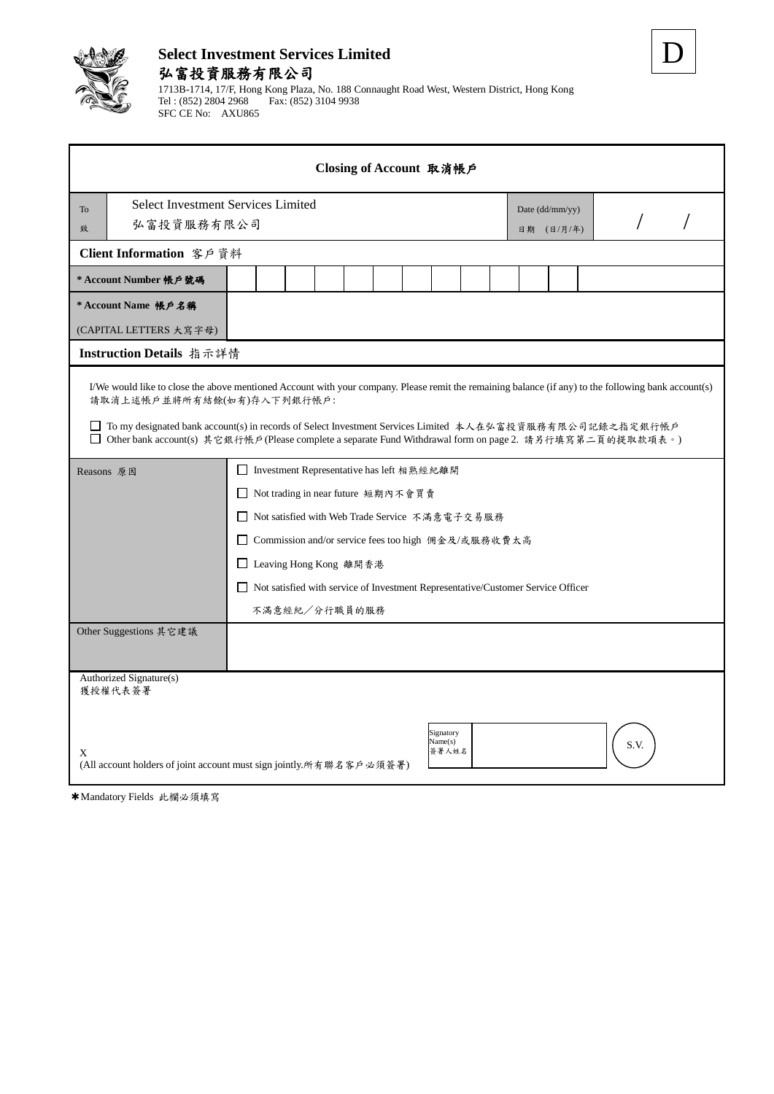

## **Select Investment Services Limited** 弘富投資服務有限公司

1713B-1714, 17/F, Hong Kong Plaza, No. 188 Connaught Road West, Western District, Hong Kong Tel : (852) 2804 2968 Fax: (852) 3104 9938 SFC CE No: AXU865

D

| Closing of Account 取消帳戶                                                                                                                                                                                                                                                                                                                                                                                                |                                                              |                                                |  |  |  |  |  |  |  |  |  |            |                 |  |  |  |  |
|------------------------------------------------------------------------------------------------------------------------------------------------------------------------------------------------------------------------------------------------------------------------------------------------------------------------------------------------------------------------------------------------------------------------|--------------------------------------------------------------|------------------------------------------------|--|--|--|--|--|--|--|--|--|------------|-----------------|--|--|--|--|
| To                                                                                                                                                                                                                                                                                                                                                                                                                     | <b>Select Investment Services Limited</b>                    |                                                |  |  |  |  |  |  |  |  |  |            | Date (dd/mm/yy) |  |  |  |  |
| 致                                                                                                                                                                                                                                                                                                                                                                                                                      | 弘富投資服務有限公司                                                   |                                                |  |  |  |  |  |  |  |  |  | 日期 (日/月/年) |                 |  |  |  |  |
|                                                                                                                                                                                                                                                                                                                                                                                                                        | Client Information 客戶資料                                      |                                                |  |  |  |  |  |  |  |  |  |            |                 |  |  |  |  |
| * Account Number 帳戶號碼                                                                                                                                                                                                                                                                                                                                                                                                  |                                                              |                                                |  |  |  |  |  |  |  |  |  |            |                 |  |  |  |  |
|                                                                                                                                                                                                                                                                                                                                                                                                                        | * Account Name 帳戶名稱                                          |                                                |  |  |  |  |  |  |  |  |  |            |                 |  |  |  |  |
|                                                                                                                                                                                                                                                                                                                                                                                                                        | (CAPITAL LETTERS 大寫字母)                                       |                                                |  |  |  |  |  |  |  |  |  |            |                 |  |  |  |  |
|                                                                                                                                                                                                                                                                                                                                                                                                                        | Instruction Details 指示詳情                                     |                                                |  |  |  |  |  |  |  |  |  |            |                 |  |  |  |  |
| I/We would like to close the above mentioned Account with your company. Please remit the remaining balance (if any) to the following bank account(s)<br>請取消上述帳戶並將所有結餘(如有)存入下列銀行帳戶:<br>$\Box$<br>To my designated bank account(s) in records of Select Investment Services Limited 本人在弘富投資服務有限公司記錄之指定銀行帳戶<br>□ Other bank account(s) 其它銀行帳戶(Please complete a separate Fund Withdrawal form on page 2. 請另行填寫第二頁的提取款項表。) |                                                              |                                                |  |  |  |  |  |  |  |  |  |            |                 |  |  |  |  |
|                                                                                                                                                                                                                                                                                                                                                                                                                        |                                                              |                                                |  |  |  |  |  |  |  |  |  |            |                 |  |  |  |  |
|                                                                                                                                                                                                                                                                                                                                                                                                                        | Investment Representative has left 相熟經紀離開<br>ப<br>Reasons 原因 |                                                |  |  |  |  |  |  |  |  |  |            |                 |  |  |  |  |
|                                                                                                                                                                                                                                                                                                                                                                                                                        |                                                              | Not trading in near future 短期內不會買賣             |  |  |  |  |  |  |  |  |  |            |                 |  |  |  |  |
|                                                                                                                                                                                                                                                                                                                                                                                                                        |                                                              | Not satisfied with Web Trade Service 不滿意電子交易服務 |  |  |  |  |  |  |  |  |  |            |                 |  |  |  |  |
|                                                                                                                                                                                                                                                                                                                                                                                                                        | Commission and/or service fees too high 佣金及/或服務收費太高          |                                                |  |  |  |  |  |  |  |  |  |            |                 |  |  |  |  |
| Leaving Hong Kong 離開香港                                                                                                                                                                                                                                                                                                                                                                                                 |                                                              |                                                |  |  |  |  |  |  |  |  |  |            |                 |  |  |  |  |
| Not satisfied with service of Investment Representative/Customer Service Officer<br>不滿意經紀/分行職員的服務                                                                                                                                                                                                                                                                                                                      |                                                              |                                                |  |  |  |  |  |  |  |  |  |            |                 |  |  |  |  |
|                                                                                                                                                                                                                                                                                                                                                                                                                        | Other Suggestions 其它建議                                       |                                                |  |  |  |  |  |  |  |  |  |            |                 |  |  |  |  |
|                                                                                                                                                                                                                                                                                                                                                                                                                        |                                                              |                                                |  |  |  |  |  |  |  |  |  |            |                 |  |  |  |  |
|                                                                                                                                                                                                                                                                                                                                                                                                                        | Authorized Signature(s)<br>獲授權代表簽署                           |                                                |  |  |  |  |  |  |  |  |  |            |                 |  |  |  |  |
| Signatory<br>Name(s)<br>S.V.<br>簽署人姓名<br>X<br>(All account holders of joint account must sign jointly.所有聯名客戶必須簽署)                                                                                                                                                                                                                                                                                                      |                                                              |                                                |  |  |  |  |  |  |  |  |  |            |                 |  |  |  |  |

✱Mandatory Fields 此欄必須填寫